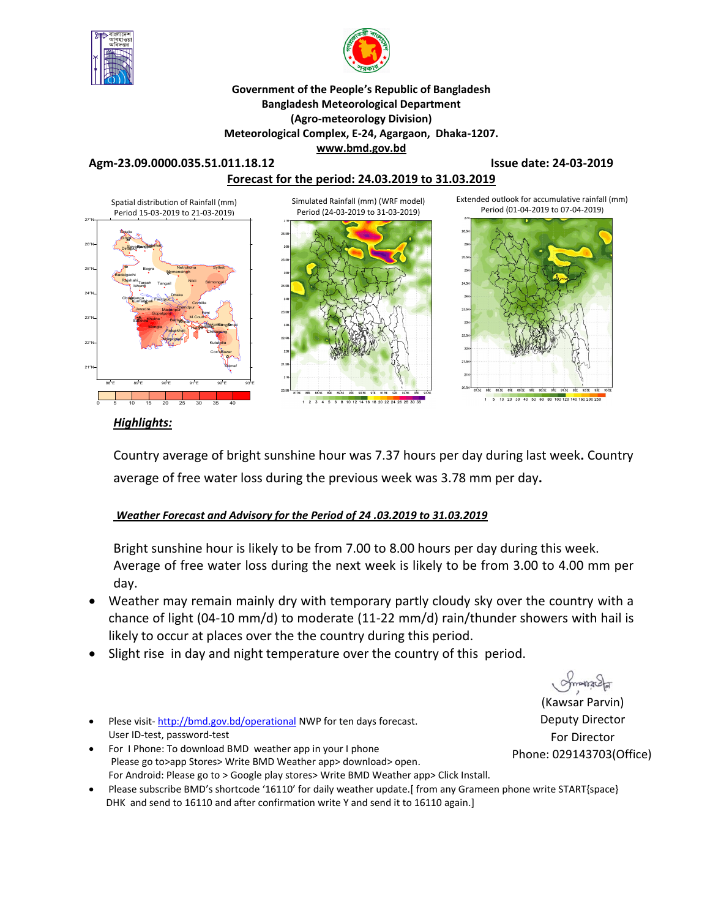



## **Government of the People's Republic of Bangladesh Bangladesh Meteorological Department (Agro-meteorology Division) Meteorological Complex, E-24, Agargaon, Dhaka-1207. www.bmd.gov.bd**

### **Agm-23.09.0000.035.51.011.18.12 Issue date: 24-03-2019**



## *Highlights:*

Country average of bright sunshine hour was 7.37 hours per day during last week**.** Country average of free water loss during the previous week was 3.78 mm per day**.** 

## *Weather Forecast and Advisory for the Period of 24 .03.2019 to 31.03.2019*

Bright sunshine hour is likely to be from 7.00 to 8.00 hours per day during this week. Average of free water loss during the next week is likely to be from 3.00 to 4.00 mm per day.

- Weather may remain mainly dry with temporary partly cloudy sky over the country with a chance of light (04-10 mm/d) to moderate (11-22 mm/d) rain/thunder showers with hail is likely to occur at places over the the country during this period.
- Slight rise in day and night temperature over the country of this period.
- Plese visit-http://bmd.gov.bd/operational NWP for ten days forecast. User ID-test, password-test
- For I Phone: To download BMD weather app in your I phone Please go to>app Stores> Write BMD Weather app> download> open. For Android: Please go to > Google play stores> Write BMD Weather app> Click Install.
- Please subscribe BMD's shortcode '16110' for daily weather update.[ from any Grameen phone write START{space} DHK and send to 16110 and after confirmation write Y and send it to 16110 again.]

(Kawsar Parvin) Deputy Director For Director Phone: 029143703(Office)

omonach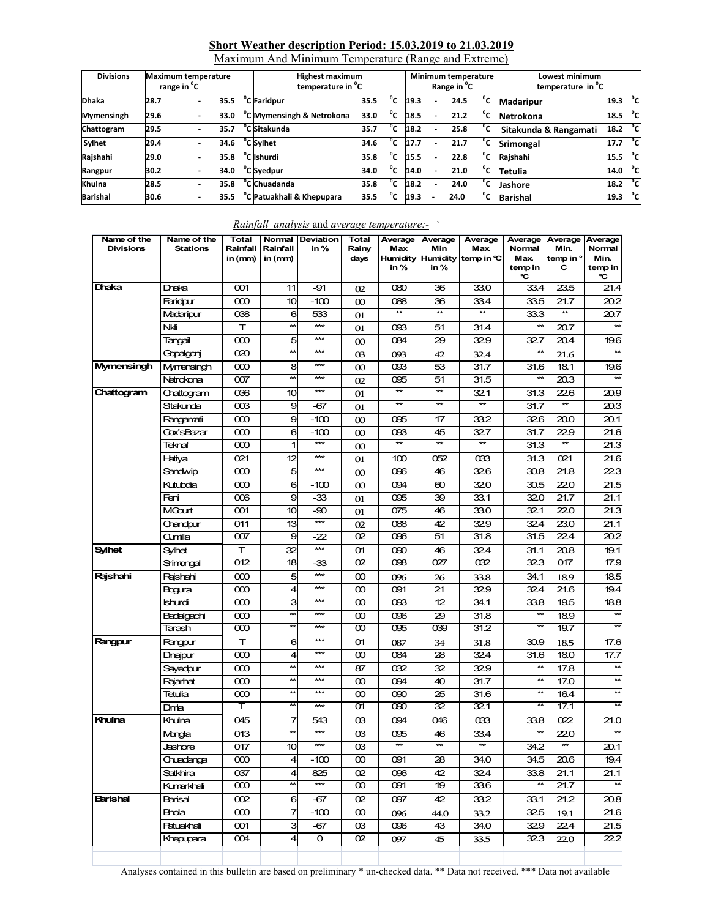## **Short Weather description Period: 15.03.2019 to 21.03.2019**

Maximum And Minimum Temperature (Range and Extreme)

| <b>Divisions</b> |      | <b>Maximum temperature</b><br>range in <sup>o</sup> C |      | <b>Highest maximum</b><br>temperature in <sup>o</sup> C |      |    |      | Minimum temperature<br>Range in <sup>o</sup> C |      |    | Lowest minimum<br>temperature in <sup>o</sup> C |      |                |
|------------------|------|-------------------------------------------------------|------|---------------------------------------------------------|------|----|------|------------------------------------------------|------|----|-------------------------------------------------|------|----------------|
| <b>Dhaka</b>     | 28.7 |                                                       | 35.5 | <sup>o</sup> C Faridpur                                 | 35.5 |    | 19.3 |                                                | 24.5 | °c | <b>Madaripur</b>                                | 19.3 | °cl            |
| Mymensingh       | 29.6 |                                                       | 33.0 | <sup>o</sup> C Mymensingh & Netrokona                   | 33.0 | °c | 18.5 |                                                | 21.2 | °c | Netrokona                                       | 18.5 | ்ட             |
| Chattogram       | 29.5 |                                                       | 35.7 | <sup>o</sup> C Sitakunda                                | 35.7 | °c | 18.2 |                                                | 25.8 | °c | Sitakunda & Rangamati                           | 18.2 | ි              |
| Sylhet           | 29.4 |                                                       | 34.6 | <sup>o</sup> C Sylhet                                   | 34.6 | °c | 17.7 |                                                | 21.7 | °c | <b>Srimongal</b>                                | 17.7 | °c∣            |
| Rajshahi         | 29.0 |                                                       | 35.8 | <sup>o</sup> C Ishurdi                                  | 35.8 | °c | 15.5 |                                                | 22.8 | °c | Rajshahi                                        | 15.5 | $\overline{c}$ |
| Rangpur          | 30.2 |                                                       | 34.0 | °C Syedpur                                              | 34.0 | ۳C | 14.0 | ۰                                              | 21.0 | °c | Tetulia                                         | 14.0 | ்ட             |
| Khulna           | 28.5 |                                                       | 35.8 | $\overline{C}$ Chuadanda                                | 35.8 | °c | 18.2 |                                                | 24.0 | °c | <b>Jashore</b>                                  | 18.2 | ្ភិ            |
| <b>Barishal</b>  | 30.6 |                                                       | 35.5 | <sup>o</sup> C Patuakhali & Khepupara                   | 35.5 | °c | 19.3 |                                                | 24.0 | °c | <b>Barishal</b>                                 | 19.3 | $^{\circ}$ cl  |

# *Rainfall analysis* and *average temperature:-* `

| Name of the<br><b>Divisions</b> | Name of the<br><b>Stations</b> | Total<br>Rainfall<br>in (mm) | Normal<br>Rainfall<br>in (mm) | Deviation<br>in%  | Total<br>Rainy<br>days | Average<br>Max<br>in% | Average<br>Min<br><b>Humidity Humidity</b><br>in % | Average<br>Max.<br>temp in $C$ | Average<br>Normal<br>Max.<br>temp in<br>℃ | Average<br>Min.<br>temp in °<br>с | Average<br>Normal<br>Min.<br>temp in<br>℃ |
|---------------------------------|--------------------------------|------------------------------|-------------------------------|-------------------|------------------------|-----------------------|----------------------------------------------------|--------------------------------|-------------------------------------------|-----------------------------------|-------------------------------------------|
| Dhaka                           | Draka                          | 001                          | 11                            | -91               | 02                     | 080                   | 36                                                 | 33.0                           | 33.4                                      | 23.5                              | 21.4                                      |
|                                 | Faridpur                       | $\infty$                     | 10 <sup>1</sup>               | $-100$            | $\infty$               | 088                   | 36                                                 | 33.4                           | 33.5                                      | 21.7                              | 20.2                                      |
|                                 | Madaripur                      | 038                          | 6                             | 533               | 01                     | $\star\star$          | $\star\star$                                       | $\star\star$                   | 33.3                                      | **                                | 20.7                                      |
|                                 | Nki                            | т                            | $\star\star$                  | $***$             | 01                     | 093                   | 51                                                 | 31.4                           | $\star\star$                              | 20.7                              |                                           |
|                                 | Tangail                        | 000                          | 5                             | ***               | $\infty$               | 084                   | 29                                                 | 329                            | 32.7                                      | 20.4                              | 19.6                                      |
|                                 | Gopalgonj                      | 020                          | $\star\star$                  | ***               | 03                     | 093                   | 42                                                 | 32.4                           |                                           | 21.6                              |                                           |
| <b>Mymensingh</b>               | Mymensingh                     | 000                          | 8                             | ***               | $\infty$               | 093                   | 53                                                 | 31.7                           | 31.6                                      | 18.1                              | 19.6                                      |
|                                 | Netrokona                      | 007                          | $\star\star$                  | ***               | 02                     | 095                   | 51                                                 | 31.5                           | $\star\star$                              | 20.3                              | $\star$                                   |
| Chattogram                      | Chattogram                     | 036                          | 10                            | ***               | 01                     | $\star\star$          | $\star\star$                                       | 321                            | 31.3                                      | 226                               | 20.9                                      |
|                                 | Sitakunda                      | $\infty$                     | 9                             | -67               | 01                     | ¥                     | $\star\star$                                       | $\star\star$                   | 31.7                                      | $\star\star$                      | 20.3                                      |
|                                 | Rangamati                      | $\infty$                     | 9                             | $-100$            | $\infty$               | 095                   | 17                                                 | 33.2                           | 326                                       | 20.0                              | 20.1                                      |
|                                 | Cox'sBazar                     | 000                          | 6                             | $-100$            | $\infty$               | 093                   | 45                                                 | 327                            | 31.7                                      | 22.9                              | 21.6                                      |
|                                 | Teknaf                         | 000                          | $\mathbf{1}$                  | $\star\star\star$ | $\infty$               | <b>**</b>             | $\star\star$                                       | $\star\star$                   | 31.3                                      | $\star\star$                      | 21.3                                      |
|                                 | Hatiya                         | 021                          | 12                            | ***               | 01                     | 100                   | 052                                                | 033                            | 31.3                                      | 021                               | 21.6                                      |
|                                 | Sandwip                        | 000                          | 5                             | $***$             | $\infty$               | 096                   | 46                                                 | 326                            | 30.8                                      | 21.8                              | 223                                       |
|                                 | Kutubdia                       | $\infty$                     | 6                             | -100              | $\infty$               | 094                   | $\infty$                                           | 320                            | 30.5                                      | 220                               | 21.5                                      |
|                                 | Feni                           | $\infty$                     | 9                             | -33               | 01                     | 095                   | 39                                                 | 33.1                           | 320                                       | 21.7                              | 21.1                                      |
|                                 | MCourt                         | 001                          | 10                            | -90               | 01                     | 075                   | 46                                                 | 33.0                           | 321                                       | 22.0                              | 21.3                                      |
|                                 | Chandpur                       | 011                          | 13                            | ***               | 02                     | 088                   | 42                                                 | 329                            | 324                                       | 23.0                              | 21.1                                      |
|                                 | Qmilla                         | 007                          | 9                             | -22               | œ                      | $\overline{096}$      | 51                                                 | 31.8                           | 31.5                                      | 224                               | 20.2                                      |
| <b>Sylhet</b>                   | Sylhet                         | т                            | 32                            | $\star\star\star$ | 01                     | 090                   | 46                                                 | 324                            | 31.1                                      | 20.8                              | 19.1                                      |
|                                 | Srimongal                      | 012                          | 18                            | -33               | œ                      | 098                   | 027                                                | 032                            | 323                                       | 017                               | 17.9                                      |
| Rajshahi                        | Raishahi                       | 000                          | 5                             | $***$             | $\infty$               | 096                   | 26                                                 | 33.8                           | 34.1                                      | 18.9                              | 18.5                                      |
|                                 | Bogura                         | 000                          | 4                             | ***               | $\infty$               | 091                   | 21                                                 | 32.9                           | 32.4                                      | 21.6                              | 19.4                                      |
|                                 | Ishurdi                        | 000                          | 3                             | ***               | $\infty$               | 093                   | 12                                                 | 34.1                           | 33.8                                      | 19.5                              | 18.8                                      |
|                                 | Badalgachi                     | 000                          | $\star\star$                  | ***               | $\infty$               | 096                   | 29                                                 | 31.8                           | $\star\star$                              | 18.9                              | $\star\star$                              |
|                                 | Tarash                         | $\infty$                     | $\star\star$                  | ***               | $\infty$               | 095                   | 039                                                | 31.2                           |                                           | 19.7                              |                                           |
| Rangpur                         | Rangpur                        | т                            | 6                             | ***               | 01                     | 087                   | 34                                                 | 31.8                           | 30.9                                      | 18.5                              | 17.6                                      |
|                                 | Dinajpur                       | $\infty$                     | $\overline{4}$                | ***               | $\infty$               | 084                   | 28                                                 | 32.4                           | 31.6                                      | 18.0                              | 17.7                                      |
|                                 | Sayedpur                       | $\infty$                     | $\star\star$                  | ***               | 87                     | 032                   | 32                                                 | 32.9                           | $\star\star$                              | 17.8                              |                                           |
|                                 | Rajarhat                       | 000                          | $\star\star$                  | ***               | œ                      | 094                   | 40                                                 | 31.7                           | $\star\star$                              | 17.0                              | $\star\star$                              |
|                                 | Tetulia                        | 000                          | $\star\star$                  | ***               | $\infty$               | 090                   | 25                                                 | 31.6                           | $\star\star$                              | 16.4                              | $\star\star$                              |
|                                 | Dimia                          | т                            | **                            | ***               | 01                     | $\overline{000}$      | $\overline{32}$                                    | $\overline{32.1}$              | $\star\star$                              | 17.1                              |                                           |
| Khulna                          | Khulna                         | 045                          | 7                             | 543               | œ                      | 094                   | 046                                                | 033                            | 33.8                                      | 022                               | 21.0                                      |
|                                 | Mongla                         | 013                          | $\star\star$                  | $***$             | œ                      | 095                   | 46                                                 | 33.4                           | **                                        | 22.0                              | $\star\star$                              |
|                                 | Jashore                        | 017                          | 10 <sup>1</sup>               | ***               | œ                      | $\star\star$          | $\star\star$                                       | $\star\star$                   | 34.2                                      | $\star\star$                      | 20.1                                      |
|                                 | Chuadanga                      | $\infty$                     | 4                             | $-100$            | $\infty$               | 091                   | 28                                                 | 34.0                           | 34.5                                      | 20.6                              | 19.4                                      |
|                                 | Satkhira                       | 037                          | $\overline{a}$                | 825               | œ.                     | 096                   | 42                                                 | 324                            | 33.8                                      | 21.1                              | 21.1                                      |
|                                 | Kumarkhali                     | $\overline{\infty}$          | $\star\star$                  | ***               | $\overline{8}$         | $\overline{Q}$        | $\overline{19}$                                    | 33.6                           | ¥                                         | 21.7                              |                                           |
| <b>Barishal</b>                 | Barisal                        | 002                          | 6                             | -67               | œ.                     | 097                   | 42                                                 | 33.2                           | 33.1                                      | 21.2                              | 20.8                                      |
|                                 | Bhola                          | $\infty$                     | 7                             | $-100$            | $\infty$               | 096                   | 44.0                                               | 33.2                           | 32.5                                      | 19.1                              | 21.6                                      |
|                                 | <b>Patuakhali</b>              | 001                          | 3                             | -67               | œ                      | 096                   | 43                                                 | 34.0                           | 329                                       | 22.4                              | 21.5                                      |
|                                 | Khepupara                      | 004                          | $\overline{\mathbf{r}}$       | 0                 | œ.                     | 097                   | 45                                                 | 33.5                           | 323                                       | 22.0                              | 22.2                                      |
|                                 |                                |                              |                               |                   |                        |                       |                                                    |                                |                                           |                                   |                                           |

Analyses contained in this bulletin are based on preliminary \* un-checked data. \*\* Data not received. \*\*\* Data not available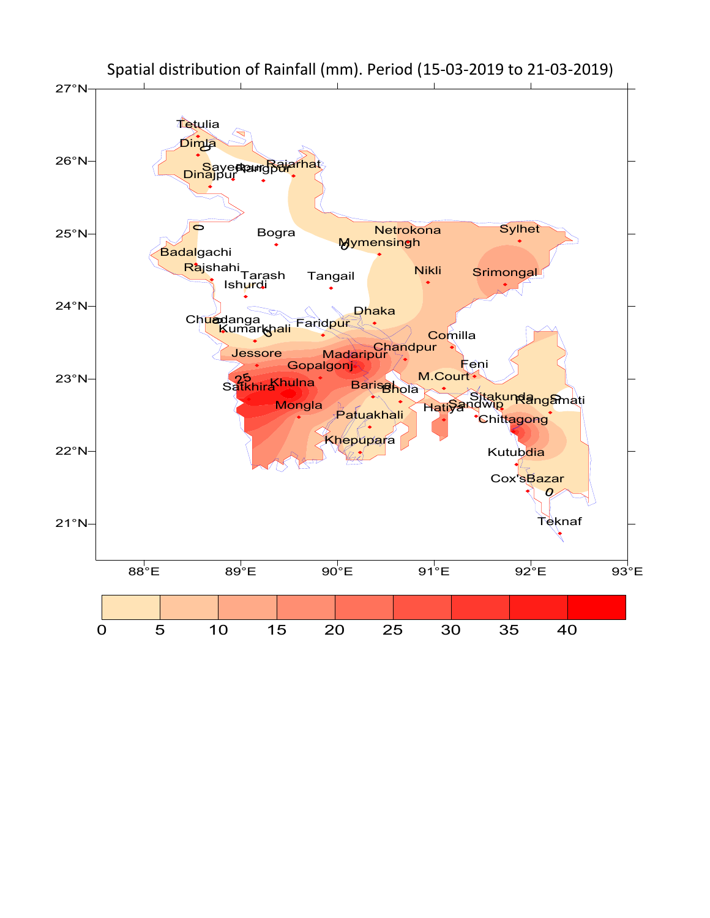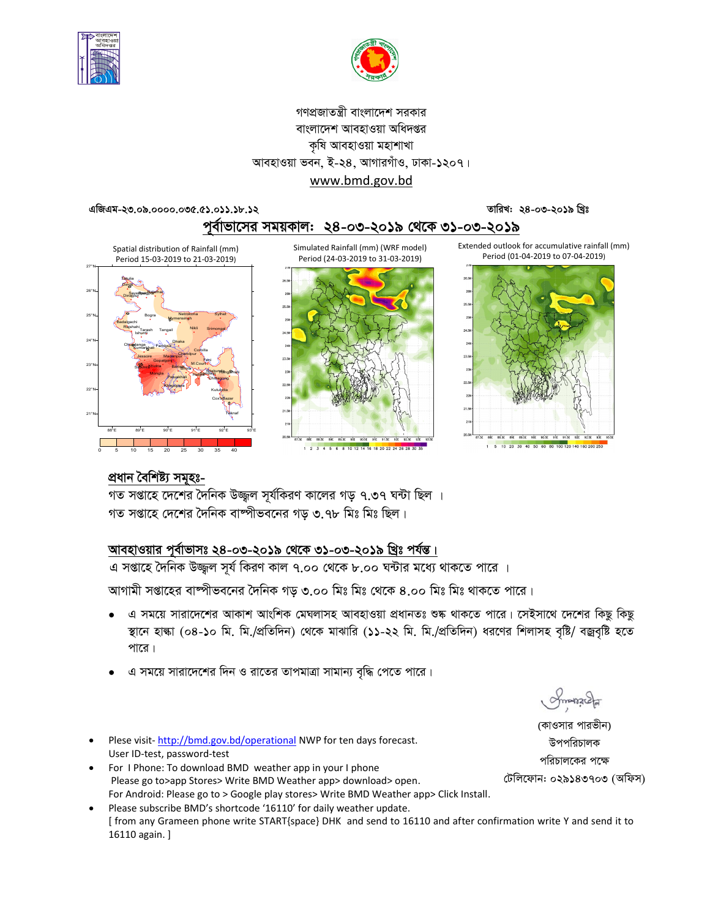



## গণপ্রজাতন্ত্রী বাংলাদেশ সরকার বাংলাদেশ আবহাওয়া অধিদপ্তর কৃষি আবহাওয়া মহাশাখা আবহাওয়া ভবন, ই-২৪, আগারগাঁও, ঢাকা-১২০৭। www.bmd.gov.bd

#### এজিএম-২৩.০৯.০০০০.০৩৫.৫১.০১১.১৮.১২

তারিখ: ২৪-০৩-২০১৯ খিঃ

পূর্বাভাসের সময়কাল: ২৪-০৩-২০১৯ থেকে ৩১-০৩-২০১৯

Extended outlook for accumulative rainfall (mm) Period (01-04-2019 to 07-04-2019) 60 80 100 120 140 160 200 25

Spatial distribution of Rainfall (mm) Period 15-03-2019 to 21-03-2019)



Simulated Rainfall (mm) (WRF model) Period (24-03-2019 to 31-03-2019)





প্ৰধান বৈ<u>শিষ্ট্য সমূহঃ-</u>

গত সপ্তাহে দেশের দৈনিক উজ্জ্বল সূর্যকিরণ কালের গড় ৭.৩৭ ঘন্টা ছিল । গত সপ্তাহে দেশের দৈনিক বাষ্পীভবনের গড ৩.৭৮ মিঃ মিঃ ছিল।

# আবহাওয়ার পূর্বাভাসঃ ২৪-০৩-২০১৯ থেকে ৩১-০৩-২০১৯ খ্রিঃ পর্যন্ত।

এ সপ্তাহে দৈনিক উজ্জ্বল সূর্য কিরণ কাল ৭.০০ থেকে ৮.০০ ঘন্টার মধ্যে থাকতে পারে ।

আগামী সপ্তাহের বাম্পীভবনের দৈনিক গড় ৩.০০ মিঃ মিঃ থেকে ৪.০০ মিঃ মিঃ থাকতে পারে।

- এ সময়ে সারাদেশের আকাশ আংশিক মেঘলাসহ আবহাওয়া প্রধানতঃ শুষ্ক থাকতে পারে। সেইসাথে দেশের কিছু কিছু স্থানে হাল্কা (০৪-১০ মি. মি./প্রতিদিন) থেকে মাঝারি (১১-২২ মি. মি./প্রতিদিন) ধরণের শিলাসহ বৃষ্টি/ বজ্রবৃষ্টি হতে পারে।
- এ সময়ে সারাদেশের দিন ও রাতের তাপমাত্রা সামান্য বৃদ্ধি পেতে পারে।
- Plese visit-http://bmd.gov.bd/operational NWP for ten days forecast. User ID-test, password-test
- For I Phone: To download BMD weather app in your I phone Please go to>app Stores> Write BMD Weather app> download> open. For Android: Please go to > Google play stores> Write BMD Weather app> Click Install.
- Please subscribe BMD's shortcode '16110' for daily weather update. [ from any Grameen phone write START{space} DHK and send to 16110 and after confirmation write Y and send it to 16110 again. ]

Smanacla

(কাওসার পারভীন) উপপরিচালক পরিচালকের পক্ষে টেলিফোন: ০২৯১৪৩৭০৩ (অফিস)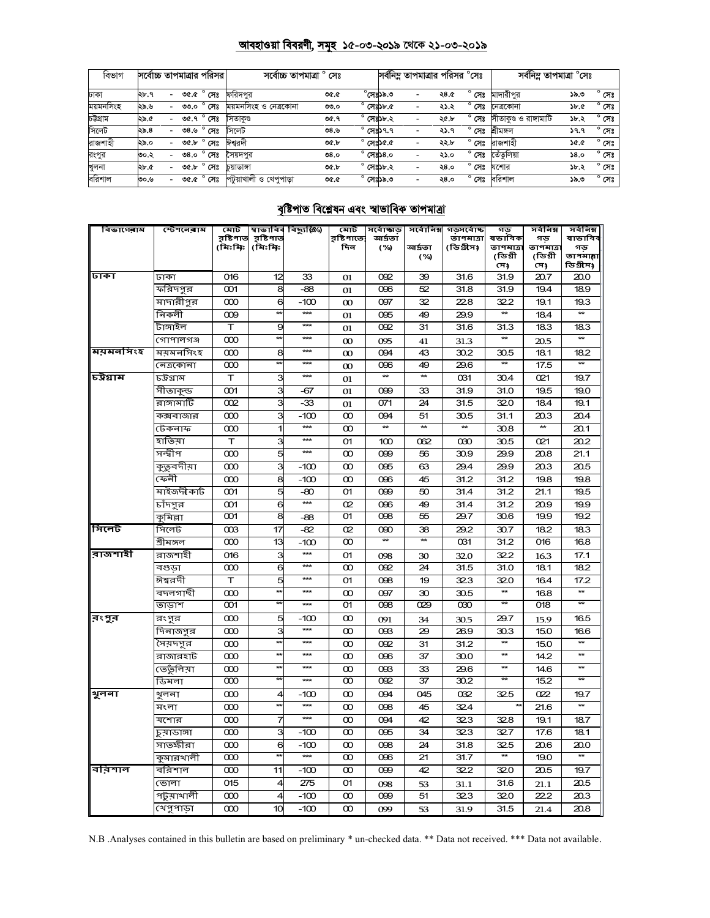# <u> আবহাওয়া বিবরণী, সমূহ ১৫-০৩-২০১৯ থেকে ২১-০৩-২০১৯</u>

| বিভাগ     | সর্বোচ্চ তাপমাত্রার পরিসর |                          |      |                | সৰ্বোচ্চ তাপমাত্ৰা ° সেঃ |      |                    |                  | সর্বনিম্ন তাপমাত্রার পরিসর °সেঃ |      |                | সৰ্বনিম্ন তাপমাত্ৰা °সেঃ |      |                |
|-----------|---------------------------|--------------------------|------|----------------|--------------------------|------|--------------------|------------------|---------------------------------|------|----------------|--------------------------|------|----------------|
| ঢাকা      | ২৮.৭                      |                          |      | ৩৫.৫ ° সেঃ     | ফরিদপর                   | ৩৫.৫ |                    | $^\circ$ মেঃ১৯.৩ | $\overline{\phantom{0}}$        | ২৪.৫ | $^{\circ}$ সেঃ | মাদারীপর                 | ১৯.৩ | $^{\circ}$ সেঃ |
| ময়মনসিংহ | ২৯.৬                      |                          | 00.0 | $^{\circ}$ সেঃ | ময়মনসিংহ ও নেত্রকোনা    | ৩৩.০ | $^{\circ}$ সেঃ১৮.৫ |                  |                                 | ২১.২ | সেঃ            | নেত্ৰকোনা                | ১৮.৫ | $^{\circ}$ সেঃ |
| চউগ্ৰাম   | ২৯.৫                      | -                        |      | ৩৫.৭ ° সেঃ     | সিতাকণ্ড                 | ৩৫.৭ | $^{\circ}$ সেঃ১৮.২ |                  | $\overline{\phantom{a}}$        | ২৫.৮ | $^{\circ}$ সেঃ | সীতাকুণ্ড ও রাঙ্গামাটি   | ১৮.২ | $^{\circ}$ সেঃ |
| সিলেট     | ২৯.৪                      |                          | ৩৪.৬ | $^{\circ}$ সেঃ | সিলেট                    | ৩৪.৬ | $^{\circ}$ সেঃ১৭.৭ |                  | $\overline{\phantom{a}}$        | ২১.৭ | ۰<br>সেঃ       | শ্ৰীমঙ্গল                | ১৭.৭ | $^{\circ}$ সেঃ |
| রাজশাহী   | ২৯.০                      |                          | ৩৫.৮ | $^{\circ}$ সেঃ | ঈশ্বরদী                  | ৩৫.৮ | $^{\circ}$ সেঃ১৫.৫ |                  | $\overline{\phantom{a}}$        | ২২.৮ | $^{\circ}$ সেঃ | রাজশাহী                  | ১৫.৫ | $^{\circ}$ সেঃ |
| রংপুর     | ৩০.২                      |                          | 0.8c | $^{\circ}$ সেঃ | সৈয়দপর                  | 0.8c | $^{\circ}$ সেঃ১৪.০ |                  | $\overline{\phantom{a}}$        | ২১.০ | $^{\circ}$ সেঃ | তেঁতলিয়া                | 58.0 | $^{\circ}$ সেঃ |
| খুলনা     | ২৮.৫                      | $\overline{\phantom{0}}$ | ৩৫.৮ | $^{\circ}$ সেঃ | চয়াডাঙ্গা               | ৩৫.৮ | $^{\circ}$ সেঃ১৮.২ |                  | $\overline{\phantom{a}}$        | ২8.० | ۰<br>সেঃ       | যশোর                     | ১৮.২ | $^{\circ}$ সেঃ |
| বরিশাল    | ৩০.৬                      |                          |      | ৩৫.৫ ° সেঃ     | পটয়াখালী ও খেপপাডা      | ৩৫.৫ | $^{\circ}$ সেঃ১৯.৩ |                  | $\overline{\phantom{a}}$        | २8.० | $^{\circ}$ সেঃ | বরিশাল                   | ১৯.৩ | $^{\circ}$ সেঃ |

# বৃষ্টিপাত বিশ্লেষন এবং স্বাভাবিক তাপমাত্ৰা

| বিভাগেৰাম | স্টেশনেৰাম     | মোট                  |                      | স্বাভাবিৰ বিছ্যুষ্ঠি⁄) | মোট               | সৰ্বোচ্ছাড়      | সর্বোনিম্ন      | গড়সৰ্বোচ্চ            | গড                  | সৰ্বনিম্ন      | সৰ্বনিম্ন                |
|-----------|----------------|----------------------|----------------------|------------------------|-------------------|------------------|-----------------|------------------------|---------------------|----------------|--------------------------|
|           |                | রৃষ্টিপাত<br>(মিঃমিঃ | রৃষ্টিপাত<br>(মিঃমিঃ |                        | র়ষ্টিপাতে<br>দিন | আৰ্দ্ৰতা<br>(%)  | আৰ্দ্ৰতা        | তাপমাত্রা<br>(ডিগ্রীস) | ষভাবিক<br>তাপমাত্রা | গড<br>তাপমাত্র | ষাভাবিব<br>গড            |
|           |                |                      |                      |                        |                   |                  | (%)             |                        | (ডিগ্ৰী             | (ডিগ্ৰী        | তাপমাল্লা                |
|           |                |                      |                      |                        |                   |                  |                 |                        | সে)                 | সে)            | ডিগ্ৰীস)                 |
| ঢাকা      | ঢাকা           | 016                  | 12                   | 33                     | 01                | 092              | 39              | 31.6                   | 31.9                | 20.7           | 20.0                     |
|           | ফরিদপুর        | $\infty$             | 8                    | $-88$                  | 01                | 096              | 52              | 31.8                   | 31.9                | 19.4           | 18.9                     |
|           | —<br>মাদারীপুর | $\infty$             | 6                    | $-100$                 | $\infty$          | 097              | 32              | 228                    | 322                 | 19.1           | 19.3                     |
|           | নিকলী          | $\infty$             | $\star$              | $**$                   | 01                | 095              | 49              | 29.9                   | $\star\star$        | 18.4           |                          |
|           | টাঙ্গাইল       | T                    | 9                    | ***                    | 01                | 092              | 31              | 31.6                   | 31.3                | 18.3           | 18.3                     |
|           | গোপালগঞ্জ      | $\infty$             |                      | ***                    | $\infty$          | 095              | 41              | 31.3                   |                     | 20.5           |                          |
| ময়মনসিংহ | ময়মনসিংহ      | $\infty$             | 8                    | ***                    | $\infty$          | 094              | 43              | 30.2                   | 30.5                | 18.1           | 18.2                     |
|           | নেত্ৰকোনা      | $\infty$             |                      | $***$                  | $\infty$          | 096              | 49              | 29.6                   | $\star\star$        | 17.5           | $\overline{a}$           |
| চউগ্ৰাম   | চউগ্ৰাম        | T                    | 3                    | $**$                   | 01                | $\star\star$     | $\star\star$    | 031                    | 30.4                | 021            | 19.7                     |
|           | সীতাকুন্ড      | 001                  | 3                    | -67                    | 01                | 099              | 33              | 31.9                   | 31.0                | 19.5           | 19.0                     |
|           | রাঙ্গামাটি     | 002                  | 3                    | -33                    | 01                | 071              | 24              | 31.5                   | 32.0                | 18.4           | 19.1                     |
|           | কক্সবাজার      | $\infty$             | 3                    | $-100$                 | $\infty$          | 094              | 51              | 30.5                   | 31.1                | 20.3           | 20.4                     |
|           | টেকনাফ         | $\infty$             | 1                    | $**$                   | $\infty$          | $\star\star$     | $\star\star$    | $\star\star$           | 30.8                | $\star\star$   | 20.1                     |
|           | হাতিয়া        | т                    | 3                    | $***$                  | 01                | 100              | 062             | ൽ                      | 30.5                | 021            | 20.2                     |
|           | সন্দ্বীপ       | $\infty$             | 5                    | ***                    | $\infty$          | 099              | 56              | 30.9                   | 29.9                | 20.8           | 21.1                     |
|           | কুতুবদীয়া     | $\infty$             | 3                    | $-100$                 | $\infty$          | 095              | 63              | 29.4                   | 29.9                | 20.3           | 20.5                     |
|           | ফেনী           | $\infty$             | 8                    | $-100$                 | $\infty$          | 096              | 45              | 31.2                   | 31.2                | 19.8           | 19.8                     |
|           | মাইজদীকাৰ্ট    | 001                  | 5                    | $-80$                  | 01                | 099              | 50              | 31.4                   | 31.2                | 21.1           | 19.5                     |
|           | চাঁদপুর        | $\infty$             | 6                    | $\star\star\star$      | O <sub>2</sub>    | 096              | 49              | 31.4                   | 31.2                | 20.9           | 19.9                     |
|           | কুমিল্লা       | $\overline{3}$       | 8                    | -88                    | 01                | $\overline{098}$ | 55              | $\overline{29.7}$      | 30.6                | 19.9           | 19.2                     |
| সিলেট     | সিলেট          | œз                   | 17                   | $-82$                  | O <sub>2</sub>    | œю               | 38              | 29.2                   | 30.7                | 18.2           | 18.3                     |
|           | শ্ৰীমঙ্গল      | $\infty$             | 13                   | $-100$                 | $\infty$          |                  |                 | 031                    | 31.2                | 016            | 16.8                     |
| রাজশাহী   | রাজশাহী        | 016                  | 3                    | $***$                  | 01                | 098              | 30              | 32.0                   | 322                 | 16.3           | 17.1                     |
|           | বগুডা          | $\infty$             | 6                    | $***$                  | $\infty$          | 092              | 24              | 31.5                   | 31.0                | 18.1           | 18.2                     |
|           | ঈশ্বরদী        | т                    | 5                    | $***$                  | 01                | 098              | 19              | 323                    | 320                 | 16.4           | 17.2                     |
|           | বদলগাছী        | $\infty$             |                      | ***                    | $\infty$          | 097              | 30              | 30.5                   |                     | 16.8           |                          |
|           | তাডাশ          | $\infty$             |                      | $***$                  | 01                | 098              | 029             | ൽ                      | $\star\star$        | 018            | $**$                     |
| রংপুর     | রংপুর          | $\infty$             | 5                    | $-100$                 | $\infty$          | 091              | 34              | 30.5                   | 29.7                | 15.9           | 16.5                     |
|           | দিনাজপুর       | $\infty$             | 3                    | $***$                  | $\infty$          | œз               | 29              | 26.9                   | 30.3                | 15.0           | 16.6                     |
|           | সৈয়দপুর       | $\infty$             |                      | ***                    | $\infty$          | 092              | 31              | 31.2                   | $\star\star$        | 15.0           | $**$                     |
|           | রাজারহাট       | $\infty$             |                      | ***                    | $\infty$          | 096              | 37              | 30.0                   | $\star\star$        | 14.2           | $\star\star$             |
|           | ভেতুলিয়া      | $\infty$             |                      | $**$                   | $\infty$          | œз               | 33              | 29.6                   | $\star\star$        | 14.6           | $**$                     |
|           | ডিমলা          | $\infty$             |                      | ***                    | $\infty$          | 092              | $\overline{37}$ | 30.2                   | $\star\star$        | 15.2           | $\star\star$             |
| থুলনা     | খ়লনা          | $\infty$             | 4                    | -100                   | $\infty$          | 094              | 045             | 032                    | 32.5                | 022            | 19.7                     |
|           | মংলা           | $\infty$             |                      | $***$                  | $\infty$          | 098              | 45              | 324                    |                     | 21.6           |                          |
|           | যশোর           | $\infty$             | 7                    | $***$                  | $\infty$          | 094              | 42              | 323                    | 32.8                | 19.1           | 18.7                     |
|           | চুয়াডাঙ্গা    | $\infty$             | З                    | $-100$                 | $\infty$          | 095              | 34              | 323                    | 32.7                | 17.6           | 18.1                     |
|           | সাতক্ষীরা      | $\infty$             | 6                    | $-100$                 | $\infty$          | 098              | 24              | 31.8                   | 32.5                | 20.6           | 20.0                     |
|           | কুমারখালী      | $\infty$             |                      | $***$                  | $\infty$          | 096              | 21              | 31.7                   | $\star\star$        | 19.0           | $\overline{\phantom{a}}$ |
| বরিশাল    | বরিশাল         | $\infty$             | 11                   | $-100$                 | $\infty$          | 099              | 42              | 322                    | 32.0                | 20.5           | 19.7                     |
|           | ভোলা           | 015                  | 4                    | 275                    | 01                | 098              | 53              | 31.1                   | 31.6                | 21.1           | 20.5                     |
|           | পটুয়াথালী     | $\infty$             | 4                    | $-100$                 | $\infty$          | 099              | 51              | 323                    | 32.0                | 22.2           | 20.3                     |
|           | খেপুপাড়া      | $\infty$             | 10                   | $-100$                 | $\infty$          | 099              | 53              | 31.9                   | 31.5                | 21.4           | 20.8                     |

N.B .Analyses contained in this bulletin are based on preliminary \* un-checked data. \*\* Data not received. \*\*\* Data not available.